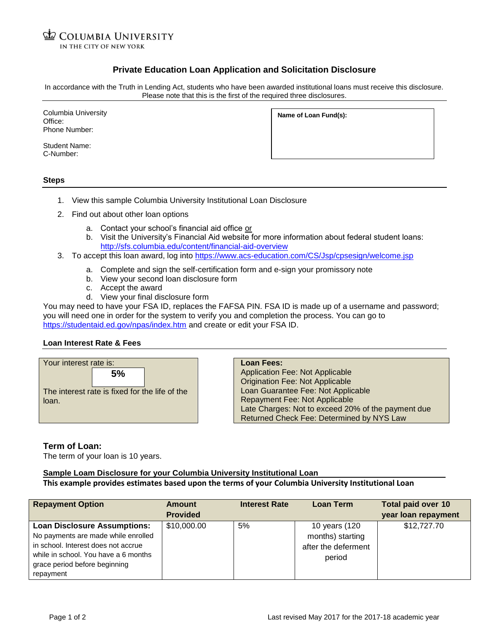**COLUMBIA UNIVERSITY** IN THE CITY OF NEW YORK

## **Private Education Loan Application and Solicitation Disclosure**

In accordance with the Truth in Lending Act, students who have been awarded institutional loans must receive this disclosure. Please note that this is the first of the required three disclosures.

Columbia University Office: Phone Number:

Student Name: C-Number:

**Name of Loan Fund(s):**

**Steps**

- 1. View this sample Columbia University Institutional Loan Disclosure
- 2. Find out about other loan options
	- a. Contact your school's financial aid office or
	- b. Visit the University's Financial Aid website for more information about federal student loans: <http://sfs.columbia.edu/content/financial-aid-overview>
- 3. To accept this loan award, log into<https://www.acs-education.com/CS/Jsp/cpsesign/welcome.jsp>
	- a. Complete and sign the self-certification form and e-sign your promissory note
	- b. View your second loan disclosure form
	- c. Accept the award
	- d. View your final disclosure form

You may need to have your FSA ID, replaces the FAFSA PIN. FSA ID is made up of a username and password; you will need one in order for the system to verify you and completion the process. You can go to <https://studentaid.ed.gov/npas/index.htm> and create or edit your FSA ID.

## **Loan Interest Rate & Fees**



**Loan Fees:** Application Fee: Not Applicable Origination Fee: Not Applicable Loan Guarantee Fee: Not Applicable Repayment Fee: Not Applicable Late Charges: Not to exceed 20% of the payment due Returned Check Fee: Determined by NYS Law

**Term of Loan:**

The term of your loan is 10 years.

## **Sample Loam Disclosure for your Columbia University Institutional Loan**

## **This example provides estimates based upon the terms of your Columbia University Institutional Loan**

| <b>Repayment Option</b>              | Amount          | <b>Interest Rate</b> | <b>Loan Term</b>    | <b>Total paid over 10</b> |
|--------------------------------------|-----------------|----------------------|---------------------|---------------------------|
|                                      | <b>Provided</b> |                      |                     | year loan repayment       |
| <b>Loan Disclosure Assumptions:</b>  | \$10,000.00     | 5%                   | 10 years (120       | \$12,727.70               |
| No payments are made while enrolled  |                 |                      | months) starting    |                           |
| in school. Interest does not accrue  |                 |                      | after the deferment |                           |
| while in school. You have a 6 months |                 |                      | period              |                           |
| grace period before beginning        |                 |                      |                     |                           |
| repayment                            |                 |                      |                     |                           |